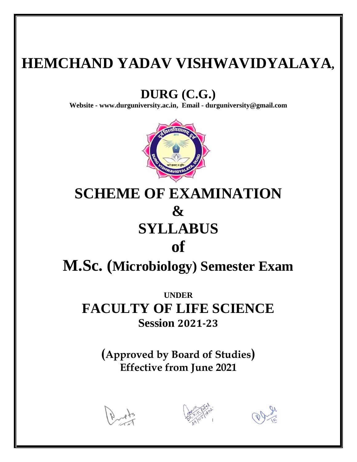# **HEMCHAND YADAV VISHWAVIDYALAYA,**

# **DURG (C.G.)**

**Website - [www.durguniversity.ac.in,](http://www.durguniversity.ac.in/) Email - [durguniversity@gmail.com](mailto:Email%20-%20durguniversity@gmail.com)**



# **SCHEME OF EXAMINATION & SYLLABUS of**

**M.Sc. (Microbiology) Semester Exam**

**UNDER FACULTY OF LIFE SCIENCE Session 2021-23**

> **(Approved by Board of Studies) Effective from June 2021**





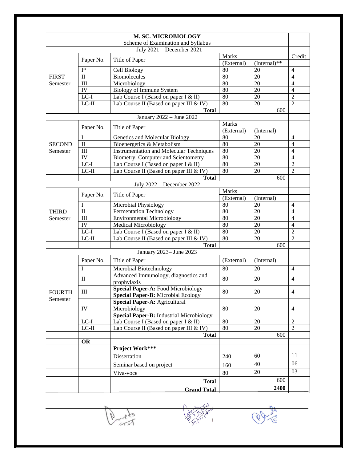|               |                     | M. SC. MICROBIOLOGY                                 |              |                |                  |
|---------------|---------------------|-----------------------------------------------------|--------------|----------------|------------------|
|               |                     | Scheme of Examination and Syllabus                  |              |                |                  |
|               |                     | July 2021 - December 2021                           |              |                |                  |
|               |                     |                                                     | <b>Marks</b> |                | Credit           |
|               | Paper No.           | Title of Paper                                      | (External)   | $(Internal)**$ |                  |
|               | $I^*$               | Cell Biology                                        | 80           | 20             | $\overline{4}$   |
| <b>FIRST</b>  | $\mathbf{I}$        | <b>Biomolecules</b>                                 | 80           | 20             | $\overline{4}$   |
| Semester      | III                 | Microbiology                                        | 80           | 20             | $\overline{4}$   |
|               | IV                  | <b>Biology of Immune System</b>                     | 80           | 20             | $\overline{4}$   |
|               | $LC-I$              | Lab Course I (Based on paper I & II)                | 80           | 20             | $\overline{2}$   |
|               | $LC-II$             | Lab Course II (Based on paper III & IV)             | 80           | 20             | $\overline{2}$   |
|               |                     | <b>Total</b>                                        |              | 600            |                  |
|               |                     | January 2022 - June 2022                            |              |                |                  |
|               | Paper No.           | Title of Paper                                      | <b>Marks</b> |                |                  |
|               |                     |                                                     | (External)   | (Internal)     |                  |
|               | I                   | Genetics and Molecular Biology                      | 80           | 20             | $\overline{4}$   |
| <b>SECOND</b> | $\rm II$            | Bioenergetics & Metabolism                          | 80           | 20             | $\overline{4}$   |
| Semester      | III                 | <b>Instrumentation and Molecular Techniques</b>     | 80           | 20             | $\overline{4}$   |
|               | IV                  | Biometry, Computer and Scientometry                 | 80           | 20             | $\overline{4}$   |
|               | $LC-I$              | Lab Course I (Based on paper I & II)                | 80           | 20             | $\overline{2}$   |
|               | $LC-II$             | Lab Course II (Based on paper III & IV)             | 80           | 20             | $\overline{2}$   |
|               |                     | <b>Total</b>                                        |              | 600            |                  |
|               |                     | July 2022 - December 2022                           |              |                |                  |
|               | Paper No.           | Title of Paper                                      | <b>Marks</b> |                |                  |
|               |                     |                                                     | (External)   | (Internal)     |                  |
|               | I                   | Microbial Physiology                                | 80           | 20             | $\overline{4}$   |
| <b>THIRD</b>  | $\overline{\rm II}$ | <b>Fermentation Technology</b>                      | 80           | 20             | $\overline{4}$   |
| Semester      | III                 | <b>Environmental Microbiology</b>                   | 80           | 20             | $\overline{4}$   |
|               | $\overline{IV}$     | <b>Medical Microbiology</b>                         | 80           | 20             | $\overline{4}$   |
|               | $LC-I$              | Lab Course I (Based on paper I & II)                | 80           | 20             | $\overline{2}$   |
|               | $LC-II$             | Lab Course II (Based on paper III $&$ IV)           | 80           | 20             | $\overline{2}$   |
|               |                     | <b>Total</b>                                        |              | 600            |                  |
|               |                     | January 2023- June 2023                             |              |                |                  |
|               | Paper No.           | Title of Paper                                      | (External)   | (Internal)     |                  |
|               | I                   | Microbial Biotechnology                             | 80           | 20             | $\overline{4}$   |
|               | $\rm II$            | Advanced Immunology, diagnostics and<br>prophylaxis | 80           | 20             | $\overline{4}$   |
|               |                     | Special Paper-A: Food Microbiology                  |              |                |                  |
| <b>FOURTH</b> | Ш                   | Special Paper-B: Microbial Ecology                  | 80           | 20             | $\overline{4}$   |
| Semester      | IV                  | Special Paper-A: Agricultural                       | 80           | 20             |                  |
|               |                     | Microbiology                                        |              |                | $\overline{4}$   |
|               |                     | <b>Special Paper-B:</b> Industrial Microbiology     |              |                |                  |
|               | $LC-I$              | Lab Course I (Based on paper I & II)                | 80           | $20\,$         | $\boldsymbol{2}$ |
|               | $LC-II$             | Lab Course II (Based on paper III $&$ IV)           | 80           | 20             | $\overline{2}$   |
|               |                     | <b>Total</b>                                        |              | 600            |                  |
|               | <b>OR</b>           |                                                     |              |                |                  |
|               |                     | Project Work***                                     |              |                |                  |
|               |                     | Dissertation                                        | 240          | 60             | 11               |
|               |                     | Seminar based on project                            | 160          | 40             | 06               |
|               |                     |                                                     |              | 20             | 03               |
|               |                     | Viva-voce                                           | 80           | 600            |                  |
|               |                     | <b>Total</b>                                        |              |                |                  |
|               |                     | <b>Grand Total</b>                                  |              | 2400           |                  |

Prop.



 $\overline{\mathcal{O}}$ **ARTIST**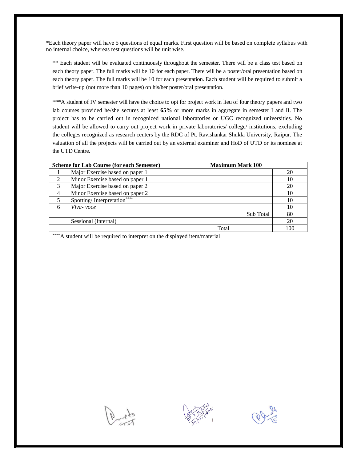\*Each theory paper will have 5 questions of equal marks. First question will be based on complete syllabus with no internal choice, whereas rest questions will be unit wise.

\*\* Each student will be evaluated continuously throughout the semester. There will be a class test based on each theory paper. The full marks will be 10 for each paper. There will be a poster/oral presentation based on each theory paper. The full marks will be 10 for each presentation. Each student will be required to submit a brief write-up (not more than 10 pages) on his/her poster/oral presentation.

\*\*\*A student of IV semester will have the choice to opt for project work in lieu of four theory papers and two lab courses provided he/she secures at least **65%** or more marks in aggregate in semester I and II. The project has to be carried out in recognized national laboratories or UGC recognized universities. No student will be allowed to carry out project work in private laboratories/ college/ institutions, excluding the colleges recognized as research centers by the RDC of Pt. Ravishankar Shukla University, Raipur. The valuation of all the projects will be carried out by an external examiner and HoD of UTD or its nominee at the UTD Centre.

| <b>Maximum Mark 100</b><br><b>Scheme for Lab Course (for each Semester)</b> |                                 |     |  |  |
|-----------------------------------------------------------------------------|---------------------------------|-----|--|--|
|                                                                             | Major Exercise based on paper 1 | 20  |  |  |
| 2                                                                           | Minor Exercise based on paper 1 | 10  |  |  |
| 3                                                                           | Major Exercise based on paper 2 | 20  |  |  |
| 4                                                                           | Minor Exercise based on paper 2 | 10  |  |  |
| 5                                                                           | Spotting/Interpretation****     | 10  |  |  |
| 6                                                                           | Viva- voce                      | 10  |  |  |
|                                                                             | Sub Total                       | 80  |  |  |
|                                                                             | Sessional (Internal)            | 20  |  |  |
|                                                                             | Total                           | 100 |  |  |

\*\*\*\*A student will be required to interpret on the displayed item/material





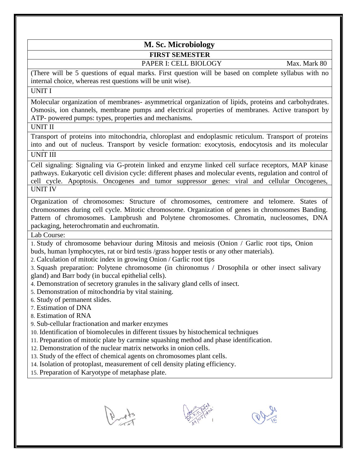# **M. Sc. Microbiology FIRST SEMESTER**

# PAPER I: CELL BIOLOGY Max. Mark 80

(There will be 5 questions of equal marks. First question will be based on complete syllabus with no internal choice, whereas rest questions will be unit wise).

# UNIT I

Molecular organization of membranes- asymmetrical organization of lipids, proteins and carbohydrates. Osmosis, ion channels, membrane pumps and electrical properties of membranes. Active transport by ATP- powered pumps: types, properties and mechanisms.

UNIT II

Transport of proteins into mitochondria, chloroplast and endoplasmic reticulum. Transport of proteins into and out of nucleus. Transport by vesicle formation: exocytosis, endocytosis and its molecular mechanism UNIT III

Cell signaling: Signaling via G-protein linked and enzyme linked cell surface receptors, MAP kinase pathways. Eukaryotic cell division cycle: different phases and molecular events, regulation and control of cell cycle. Apoptosis. Oncogenes and tumor suppressor genes: viral and cellular Oncogenes, **UNIT IV** 

Organization of chromosomes: Structure of chromosomes, centromere and telomere. States of chromosomes during cell cycle. Mitotic chromosome. Organization of genes in chromosomes Banding. Pattern of chromosomes. Lampbrush and Polytene chromosomes. Chromatin, nucleosomes, DNA packaging, heterochromatin and euchromatin.

Lab Course:

1. Study of chromosome behaviour during Mitosis and meiosis (Onion / Garlic root tips, Onion buds, human lymphocytes, rat or bird testis /grass hopper testis or any other materials).

2. Calculation of mitotic index in growing Onion / Garlic root tips

3. Squash preparation: Polytene chromosome (in chironomus / Drosophila or other insect salivary gland) and Barr body (in buccal epithelial cells).

- 4. Demonstration of secretory granules in the salivary gland cells of insect.
- 5. Demonstration of mitochondria by vital staining.
- 6. Study of permanent slides.
- 7. Estimation of DNA
- 8. Estimation of RNA
- 9. Sub-cellular fractionation and marker enzymes
- 10. Identification of biomolecules in different tissues by histochemical techniques
- 11. Preparation of mitotic plate by carmine squashing method and phase identification.
- 12. Demonstration of the nuclear matrix networks in onion cells.
- 13. Study of the effect of chemical agents on chromosomes plant cells.
- 14. Isolation of protoplast, measurement of cell density plating efficiency.
- 15. Preparation of Karyotype of metaphase plate.





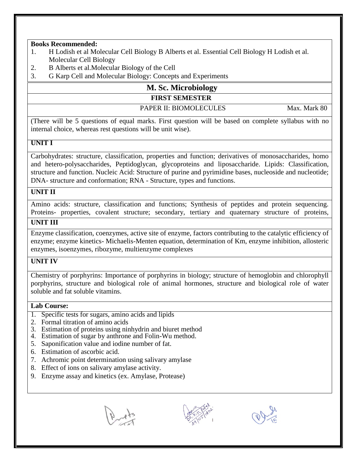- 1. H Lodish et al Molecular Cell Biology B Alberts et al. Essential Cell Biology H Lodish et al. Molecular Cell Biology
- 2. B Alberts et al.Molecular Biology of the Cell
- 3. G Karp Cell and Molecular Biology: Concepts and Experiments

# **M. Sc. Microbiology FIRST SEMESTER**

# PAPER II: BIOMOLECULES Max. Mark 80

 $\overline{a}$ (There will be 5 questions of equal marks. First question will be based on complete syllabus with no internal choice, whereas rest questions will be unit wise).

# **UNIT I**

Carbohydrates: structure, classification, properties and function; derivatives of monosaccharides, homo and hetero-polysaccharides, Peptidoglycan, glycoproteins and liposaccharide. Lipids: Classification, structure and function. Nucleic Acid: Structure of purine and pyrimidine bases, nucleoside and nucleotide; DNA- structure and conformation; RNA - Structure, types and functions.

# **UNIT II**

Amino acids: structure, classification and functions; Synthesis of peptides and protein sequencing. Proteins- properties, covalent structure; secondary, tertiary and quaternary structure of proteins, Ramchandran plot **UNIT III**

Enzyme classification, coenzymes, active site of enzyme, factors contributing to the catalytic efficiency of enzyme; enzyme kinetics- Michaelis-Menten equation, determination of Km, enzyme inhibition, allosteric enzymes, isoenzymes, ribozyme, multienzyme complexes

# **UNIT IV**

Chemistry of porphyrins: Importance of porphyrins in biology; structure of hemoglobin and chlorophyll porphyrins, structure and biological role of animal hormones, structure and biological role of water soluble and fat soluble vitamins.

- 1. Specific tests for sugars, amino acids and lipids
- 2. Formal titration of amino acids
- 3. Estimation of proteins using ninhydrin and biuret method
- 4. Estimation of sugar by anthrone and Folin-Wu method.
- 5. Saponification value and iodine number of fat.
- 6. Estimation of ascorbic acid.
- 7. Achromic point determination using salivary amylase
- 8. Effect of ions on salivary amylase activity.
- 9. Enzyme assay and kinetics (ex. Amylase, Protease)





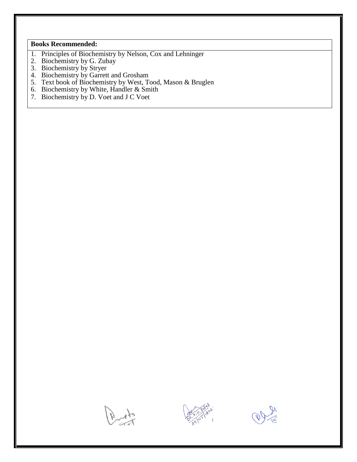- 1. Principles of Biochemistry by Nelson, Cox and Lehninger
- 2. Biochemistry by G. Zubay
- 3. Biochemistry by Stryer
- 4. Biochemistry by Garrett and Grosham
- 5. Text book of Biochemistry by West, Tood, Mason & Bruglen
- 6. Biochemistry by White, Handler & Smith
- 7. Biochemistry by D. Voet and J C Voet





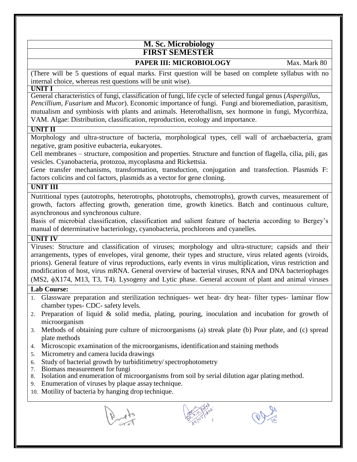# **M. Sc. Microbiology FIRST SEMESTER**

# **PAPER III: MICROBIOLOGY** Max. Mark 80

(There will be 5 questions of equal marks. First question will be based on complete syllabus with no internal choice, whereas rest questions will be unit wise).

#### **UNIT I**

General characteristics of fungi, classification of fungi, life cycle of selected fungal genus (*Aspergillus*, *Pencillium, Fusarium* and *Mucor*). Economic importance of fungi. Fungi and bioremediation, parasitism, mutualism and symbiosis with plants and animals. Heterothallism, sex hormone in fungi, Mycorrhiza, VAM. Algae: Distribution, classification, reproduction, ecology and importance.

# **UNIT II**

Morphology and ultra-structure of bacteria, morphological types, cell wall of archaebacteria, gram negative, gram positive eubacteria, eukaryotes.

Cell membranes – structure, composition and properties. Structure and function of flagella, cilia, pili, gas vesicles. Cyanobacteria, protozoa, mycoplasma and Rickettsia.

Gene transfer mechanisms, transformation, transduction, conjugation and transfection. Plasmids F: factors colicins and col factors, plasmids as a vector for gene cloning.

# **UNIT III**

Nutritional types (autotrophs, heterotrophs, phototrophs, chemotrophs), growth curves, measurement of growth, factors affecting growth, generation time, growth kinetics. Batch and continuous culture, asynchronous and synchronous culture.

Basis of microbial classification, classification and salient feature of bacteria according to Bergey's manual of determinative bacteriology, cyanobacteria, prochlorons and cyanelles.

# **UNIT IV**

Viruses: Structure and classification of viruses; morphology and ultra-structure; capsids and their arrangements, types of envelopes, viral genome, their types and structure, virus related agents (viroids, prions). General feature of virus reproductions, early events in virus multiplication, virus restriction and modification of host, virus mRNA. General overview of bacterial viruses, RNA and DNA bacteriophages  $(MS2, \phi X174, M13, T3, T4)$ . Lysogeny and Lytic phase. General account of plant and animal viruses

# $\overline{\text{Lab}}$  Course:

- 1. Glassware preparation and sterilization techniques- wet heat- dry heat- filter types- laminar flow chamber types- CDC- safety levels.
- 2. Preparation of liquid & solid media, plating, pouring, inoculation and incubation for growth of microorganism
- 3. Methods of obtaining pure culture of microorganisms (a) streak plate (b) Pour plate, and (c) spread plate methods
- 4. Microscopic examination of the microorganisms, identificationand staining methods
- 5. Micrometry and camera lucida drawings
- 6. Study of bacterial growth by turbiditimetry/spectrophotometry
- 7. Biomass measurement for fungi
- 8. Isolation and enumeration of microorganisms from soil by serial dilution agar plating method.
- 9. Enumeration of viruses by plaque assay technique.
- 10. Motility of bacteria by hanging drop technique.
	-



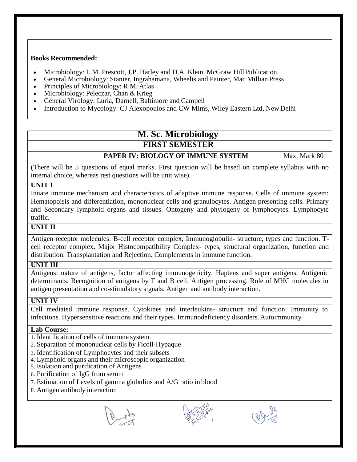- Microbiology: L.M. Prescott, J.P. Harley and D.A. Klein, McGraw HillPublication.
- General Microbiology: Stanier, Ingrahamana, Wheelis and Painter, Mac Millian Press
- Principles of Microbiology: R.M. Atlas
- Microbiology: Peleczar, Chan & Krieg
- General Virology: Luria, Darnell, Baltimore and Campell
- Introduction to Mycology: CJ Alexopoulos and CW Mims, Wiley Eastern Ltd, New Delhi

# **M. Sc. Microbiology FIRST SEMESTER**

# **PAPER IV: BIOLOGY OF IMMUNE SYSTEM** Max. Mark 80

(There will be 5 questions of equal marks. First question will be based on complete syllabus with no internal choice, whereas rest questions will be unit wise).

#### **UNIT I**

Innate immune mechanism and characteristics of adaptive immune response. Cells of immune system: Hematopoisis and differentiation, mononuclear cells and granulocytes. Antigen presenting cells. Primary and Secondary lymphoid organs and tissues. Ontogeny and phylogeny of lymphocytes. Lymphocyte traffic.

# **UNIT II**

Antigen receptor molecules: B-cell receptor complex, Immunoglobulin- structure, types and function. Tcell receptor complex. Major Histocompatibility Complex- types, structural organization, function and distribution. Transplantation and Rejection. Complements in immune function.

# **UNIT III**

Antigens: nature of antigens, factor affecting immunogenicity, Haptens and super antigens. Antigenic determinants. Recognition of antigens by T and B cell. Antigen processing. Role of MHC molecules in antigen presentation and co-stimulatory signals. Antigen and antibody interaction.

# **UNIT IV**

Cell mediated immune response. Cytokines and interleukins- structure and function. Immunity to infections. Hypersensitive reactions and their types. Immunodeficiency disorders. Autoimmunity

- 1. Identification of cells of immune system
- 2. Separation of mononuclear cells by Ficoll-Hypaque
- 3. Identification of Lymphocytes and their subsets
- 4. Lymphoid organs and their microscopic organization
- 5. Isolation and purification of Antigens
- 6. Purification of IgG from serum
- 7. Estimation of Levels of gamma globulins and A/G ratio in blood
- 8. Antigen antibody interaction





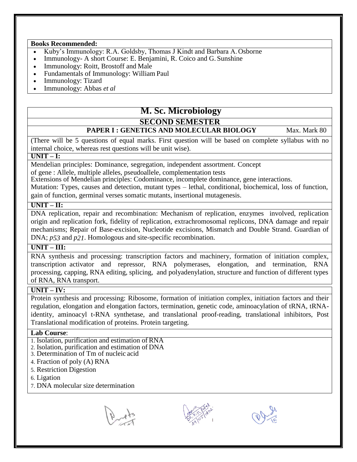- Kuby's Immunology: R.A. Goldsby, Thomas J Kindt and Barbara A.Osborne
- Immunology- A short Course: E. Benjamini, R. Coico and G. Sunshine
- Immunology: Roitt, Brostoff and Male
- Fundamentals of Immunology: William Paul
- Immunology: Tizard
- Immunology: Abbas *et al*

# **M. Sc. Microbiology**

# **SECOND SEMESTER**

# **PAPER I : GENETICS AND MOLECULAR BIOLOGY** Max. Mark 80

(There will be 5 questions of equal marks. First question will be based on complete syllabus with no internal choice, whereas rest questions will be unit wise).

# **UNIT – I:**

Mendelian principles: Dominance, segregation, independent assortment. Concept of gene : Allele, multiple alleles, pseudoallele, complementation tests

Extensions of Mendelian principles: Codominance, incomplete dominance, gene interactions.

Mutation: Types, causes and detection, mutant types – lethal, conditional, biochemical, loss of function, gain of function, germinal verses somatic mutants, insertional mutagenesis.

# **UNIT – II:**

DNA replication, repair and recombination: Mechanism of replication, enzymes involved, replication origin and replication fork, fidelity of replication, extrachromosomal replicons, DNA damage and repair mechanisms; Repair of Base-excision, Nucleotide excisions, Mismatch and Double Strand. Guardian of DNA; *p53* and *p21*. Homologous and site-specific recombination.

# **UNIT – III:**

RNA synthesis and processing: transcription factors and machinery, formation of initiation complex, transcription activator and repressor, RNA polymerases, elongation, and termination, RNA processing, capping, RNA editing, splicing, and polyadenylation, structure and function of different types of RNA, RNA transport.

# **UNIT – IV:**

Protein synthesis and processing: Ribosome, formation of initiation complex, initiation factors and their regulation, elongation and elongation factors, termination, genetic code, aminoacylation of tRNA, tRNAidentity, aminoacyl t-RNA synthetase, and translational proof-reading, translational inhibitors, Post Translational modification of proteins. Protein targeting.

- 1. Isolation, purification and estimation of RNA
- 2. Isolation, purification and estimation of DNA
- 3. Determination of Tm of nucleic acid
- 4. Fraction of poly (A) RNA
- 5. Restriction Digestion
- 6. Ligation
- 7. DNA molecular size determination





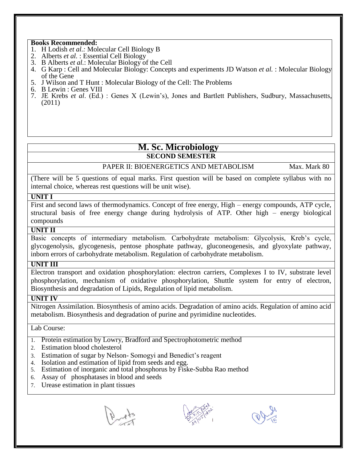- 1. H Lodish *et al.:* Molecular Cell Biology B
- 2. Alberts *et al.* : Essential Cell Biology
- 3. B Alberts *et al.*: Molecular Biology of the Cell
- 4. G Karp : Cell and Molecular Biology: Concepts and experiments JD Watson *et al.* : Molecular Biology of the Gene
- 5. J Wilson and T Hunt : Molecular Biology of the Cell: The Problems
- 6. B Lewin : Genes VIII
- 7. JE Krebs *et al*. (Ed.) : Genes X (Lewin's), Jones and Bartlett Publishers, Sudbury, Massachusetts, (2011)

# **M. Sc. Microbiology**

# **SECOND SEMESTER**

PAPER II: BIOENERGETICS AND METABOLISM Max. Mark 80

(There will be 5 questions of equal marks. First question will be based on complete syllabus with no internal choice, whereas rest questions will be unit wise).

# **UNIT I**

First and second laws of thermodynamics. Concept of free energy, High – energy compounds, ATP cycle, structural basis of free energy change during hydrolysis of ATP. Other high – energy biological compounds

#### **UNIT II**

Basic concepts of intermediary metabolism. Carbohydrate metabolism: Glycolysis, Kreb's cycle, glycogenolysis, glycogenesis, pentose phosphate pathway, gluconeogenesis, and glyoxylate pathway, inborn errors of carbohydrate metabolism. Regulation of carbohydrate metabolism.

# **UNIT III**

Electron transport and oxidation phosphorylation: electron carriers, Complexes I to IV, substrate level phosphorylation, mechanism of oxidative phosphorylation, Shuttle system for entry of electron, Biosynthesis and degradation of Lipids, Regulation of lipid metabolism.

# **UNIT IV**

Nitrogen Assimilation. Biosynthesis of amino acids. Degradation of amino acids. Regulation of amino acid metabolism. Biosynthesis and degradation of purine and pyrimidine nucleotides.

- 1. Protein estimation by Lowry, Bradford and Spectrophotometric method
- 2. Estimation blood cholesterol
- 3. Estimation of sugar by Nelson- Somogyi and Benedict's reagent
- 4. Isolation and estimation of lipid from seeds and egg.
- 5. Estimation of inorganic and total phosphorus by Fiske-Subba Rao method
- 6. Assay of phosphatases in blood and seeds
- 7. Urease estimation in plant tissues





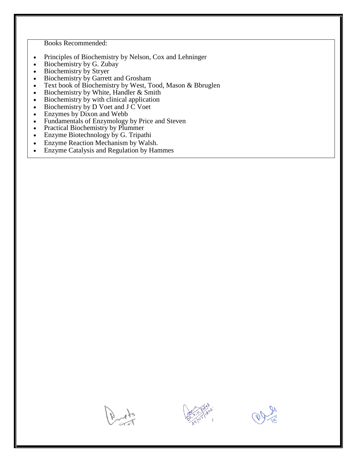- Principles of Biochemistry by Nelson, Cox and Lehninger
- Biochemistry by G. Zubay
- Biochemistry by Stryer
- Biochemistry by Garrett and Grosham
- Text book of Biochemistry by West, Tood, Mason & Bbruglen
- $\bullet$  Biochemistry by White, Handler & Smith
- Biochemistry by with clinical application
- $\bullet$  Biochemistry by D Voet and J C Voet
- Enzymes by Dixon and Webb
- Fundamentals of Enzymology by Price and Steven
- Practical Biochemistry by Plummer
- Enzyme Biotechnology by G. Tripathi
- Enzyme Reaction Mechanism by Walsh.
- Enzyme Catalysis and Regulation by Hammes





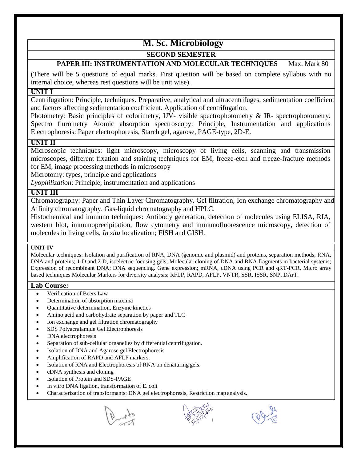# **M. Sc. Microbiology**

# **SECOND SEMESTER**

# **PAPER III: INSTRUMENTATION AND MOLECULAR TECHNIQUES** Max. Mark 80

(There will be 5 questions of equal marks. First question will be based on complete syllabus with no internal choice, whereas rest questions will be unit wise).

# **UNIT I**

Centrifugation: Principle, techniques. Preparative, analytical and ultracentrifuges, sedimentation coefficient and factors affecting sedimentation coefficient. Application of centrifugation.

Photometry: Basic principles of colorimetry, UV- visible spectrophotometry & IR- spectrophotometry. Spectro flurometry Atomic absorption spectroscopy: Principle, Instrumentation and applications Electrophoresis: Paper electrophoresis, Starch gel, agarose, PAGE-type, 2D-E.

# **UNIT II**

Microscopic techniques: light microscopy, microscopy of living cells, scanning and transmission microscopes, different fixation and staining techniques for EM, freeze-etch and freeze-fracture methods for EM, image processing methods in microscopy

Microtomy: types, principle and applications

*Lyophilization*: Principle, instrumentation and applications

# **UNIT III**

Chromatography: Paper and Thin Layer Chromatography. Gel filtration, Ion exchange chromatography and Affinity chromatography. Gas-liquid chromatography and HPLC.

Histochemical and immuno techniques: Antibody generation, detection of molecules using ELISA, RIA, western blot, immunoprecipitation, flow cytometry and immunofluorescence microscopy, detection of molecules in living cells, *In situ* localization; FISH and GISH.

#### **UNIT IV**

Molecular techniques: Isolation and purification of RNA, DNA (genomic and plasmid) and proteins, separation methods; RNA, DNA and proteins; 1-D and 2-D, isoelectric focusing gels; Molecular cloning of DNA and RNA fragments in bacterial systems; Expression of recombinant DNA; DNA sequencing. Gene expression; mRNA, cDNA using PCR and qRT-PCR. Micro array based techniques.Molecular Markers for diversity analysis: RFLP, RAPD, AFLP, VNTR, SSR, ISSR, SNP, DArT.

- Verification of Beers Law
- Determination of absorption maxima
- Quantitative determination, Enzyme kinetics
- Amino acid and carbohydrate separation by paper and TLC
- Ion exchange and gel filtration chromatography
- SDS Polyacralamide Gel Electrophoresis
- DNA electrophoresis
- Separation of sub-cellular organelles by differential centrifugation.
- Isolation of DNA and Agarose gel Electrophoresis
- Amplification of RAPD and AFLP markers.
- Isolation of RNA and Electrophoresis of RNA on denaturing gels.
- cDNA synthesis and cloning
- Isolation of Protein and SDS-PAGE
- In vitro DNA ligation, transformation of E. coli
- Characterization of transformants: DNA gel electrophoresis, Restriction map analysis.



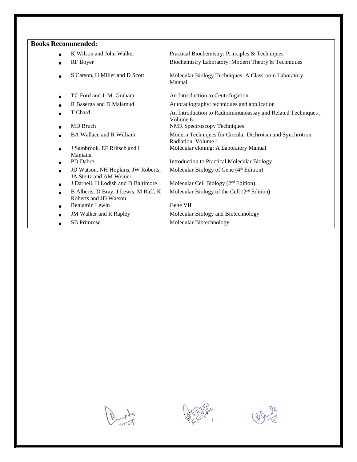| $\bullet$ | K Wilson and John Walker                                       | Practical Biochemistry: Principles & Techniques                                 |
|-----------|----------------------------------------------------------------|---------------------------------------------------------------------------------|
|           | RF Boyer                                                       | Biochemistry Laboratory: Modern Theory & Techniques                             |
|           | S Carson, H Miller and D Scott                                 | Molecular Biology Techniques: A Classroom Laboratory<br>Manual                  |
|           | TC Ford and J. M. Graham                                       | An Introduction to Centrifugation                                               |
|           | R Baserga and D Malamud                                        | Autoradiography: techniques and application                                     |
|           | T Chard                                                        | An Introduction to Radioimmunoassay and Related Techniques,<br>Volume 6         |
|           | MD Bruch                                                       | <b>NMR Spectroscopy Techniques</b>                                              |
|           | <b>BA Wallace and R William</b>                                | Modern Techniques for Circular Dichroism and Synchrotron<br>Radiation, Volume 1 |
| $\bullet$ | J Sambrook, EF Rritsch and I<br><b>Maniatis</b>                | Molecular cloning: A Laboratory Manual                                          |
| $\bullet$ | PD Dabre                                                       | <b>Introduction to Practical Molecular Biology</b>                              |
|           | JD Watson, NH Hopkins, JW Roberts,<br>JA Steitz and AM Weiner  | Molecular Biology of Gene $(4th Edition)$                                       |
| $\bullet$ | J Darnell, H Lodish and D Baltimore                            | Molecular Cell Biology (2 <sup>nd</sup> Edition)                                |
| $\bullet$ | B Alberts, D Bray, J Lewis, M Raff, K<br>Roberts and JD Watson | Molecular Biology of the Cell $(2nd Edition)$                                   |
| $\bullet$ | Benjamin Lewin                                                 | Gene VII                                                                        |
|           | JM Walker and R Rapley                                         | Molecular Biology and Biotechnology                                             |
|           | SB Primrose                                                    | Molecular Biotechnology                                                         |





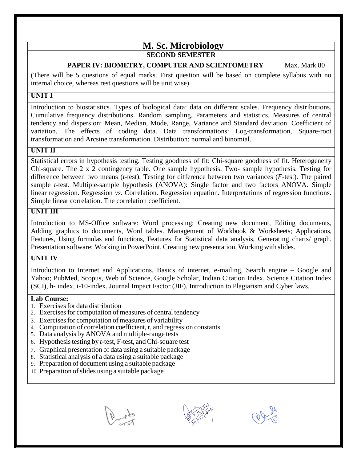# **M. Sc. Microbiology SECOND SEMESTER**

# **PAPER IV: BIOMETRY, COMPUTER AND SCIENTOMETRY** Max. Mark 80

(There will be 5 questions of equal marks. First question will be based on complete syllabus with no internal choice, whereas rest questions will be unit wise).

# **UNIT I**

Introduction to biostatistics. Types of biological data: data on different scales. Frequency distributions. Cumulative frequency distributions. Random sampling. Parameters and statistics. Measures of central tendency and dispersion: Mean, Median, Mode, Range, Variance and Standard deviation. Coefficient of variation. The effects of coding data. Data transformations: Log-transformation, Square-root transformation and Arcsine transformation. Distribution: normal and binomial.

# **UNIT II**

Statistical errors in hypothesis testing. Testing goodness of fit: Chi-square goodness of fit. Heterogeneity Chi-square. The 2 x 2 contingency table. One sample hypothesis. Two- sample hypothesis. Testing for difference between two means (*t*-test). Testing for difference between two variances (*F*-test). The paired sample *t*-test. Multiple-sample hypothesis (ANOVA): Single factor and two factors ANOVA. Simple linear regression. Regression *vs.* Correlation. Regression equation. Interpretations of regression functions. Simple linear correlation. The correlation coefficient.

# **UNIT III**

Introduction to MS-Office software: Word processing; Creating new document, Editing documents, Adding graphics to documents, Word tables. Management of Workbook & Worksheets; Applications, Features, Using formulas and functions, Features for Statistical data analysis, Generating charts/ graph. Presentation software; Working in PowerPoint, Creating new presentation, Working with slides.

# **UNIT IV**

Introduction to Internet and Applications. Basics of internet, e-mailing, Search engine – Google and Yahoo; PubMed, Scopus, Web of Science, Google Scholar, Indian Citation Index, Science Citation Index (SCI), h- index, i-10-index. Journal Impact Factor (JIF). Introduction to Plagiarism and Cyber laws.

- 1. Exercisesfor data distribution
- 2. Exercises for computation of measures of central tendency
- 3. Exercises for computation of measures of variability
- 4. Computation of correlation coefficient, r, and regression constants
- 5. Data analysis by ANOVA and multiple-range tests
- 6. Hypothesistesting by *t*-test, F-test, and Chi-square test
- 7. Graphical presentation of data using a suitable package
- 8. Statistical analysis of a data using a suitable package
- 9. Preparation of document using a suitable package
- 10. Preparation of slides using a suitable package



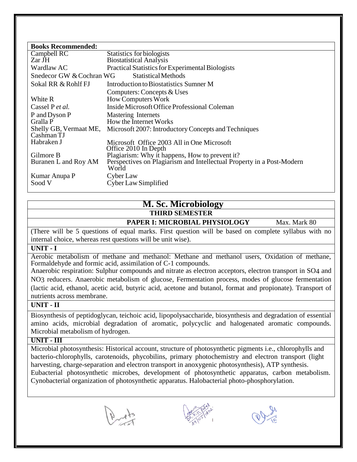| <b>Books Recommended:</b>                       |                                                                                |  |  |  |  |
|-------------------------------------------------|--------------------------------------------------------------------------------|--|--|--|--|
| Campbell RC                                     | Statistics for biologists                                                      |  |  |  |  |
| Zar JH                                          | <b>Biostatistical Analysis</b>                                                 |  |  |  |  |
| Wardlaw AC                                      | Practical Statistics for Experimental Biologists                               |  |  |  |  |
| Snedecor GW & Cochran WG<br>Statistical Methods |                                                                                |  |  |  |  |
| Sokal RR & Rohlf FJ                             | Introduction to Biostatistics Sumner M                                         |  |  |  |  |
|                                                 | Computers: Concepts & Uses                                                     |  |  |  |  |
| White R                                         | <b>How Computers Work</b>                                                      |  |  |  |  |
| Cassel P <i>et al.</i>                          | Inside Microsoft Office Professional Coleman                                   |  |  |  |  |
| P and Dyson P                                   | Mastering Internets                                                            |  |  |  |  |
| Gralla P                                        | How the Internet Works                                                         |  |  |  |  |
| Shelly GB, Vermaat ME,                          | Microsoft 2007: Introductory Concepts and Techniques                           |  |  |  |  |
| Cashman TJ                                      |                                                                                |  |  |  |  |
| Habraken J                                      | Microsoft Office 2003 All in One Microsoft                                     |  |  |  |  |
|                                                 | Office 2010 In Depth                                                           |  |  |  |  |
| Gilmore B                                       | Plagiarism: Why it happens, How to prevent it?                                 |  |  |  |  |
| Buranen L and Roy AM                            | Perspectives on Plagiarism and Intellectual Property in a Post-Modern<br>World |  |  |  |  |
| Kumar Anupa P                                   | Cyber Law                                                                      |  |  |  |  |
| Sood V                                          | Cyber Law Simplified                                                           |  |  |  |  |

# **M. Sc. Microbiology THIRD SEMESTER**

 **PAPER I: MICROBIAL PHYSIOLOGY** Max. Mark 80

(There will be 5 questions of equal marks. First question will be based on complete syllabus with no internal choice, whereas rest questions will be unit wise).

# **UNIT - I**

Aerobic metabolism of methane and methanol: Methane and methanol users, Oxidation of methane, Formaldehyde and formic acid, assimilation of C-1 compounds.

Anaerobic respiration: Sulphur compounds and nitrate as electron acceptors, electron transport in SO4 and NO3 reducers. Anaerobic metabolism of glucose, Fermentation process, modes of glucose fermentation (lactic acid, ethanol, acetic acid, butyric acid, acetone and butanol, format and propionate). Transport of nutrients across membrane.

# **UNIT - II**

Biosynthesis of peptidoglycan, teichoic acid, lipopolysaccharide, biosynthesis and degradation of essential amino acids, microbial degradation of aromatic, polycyclic and halogenated aromatic compounds. Microbial metabolism of hydrogen.

#### **UNIT - III**

Microbial photosynthesis: Historical account, structure of photosynthetic pigments i.e., chlorophylls and bacterio-chlorophylls, carotenoids, phycobilins, primary photochemistry and electron transport (light harvesting, charge-separation and electron transport in anoxygenic photosynthesis), ATP synthesis. Eubacterial photosynthetic microbes, development of photosynthetic apparatus, carbon metabolism. Cynobacterial organization of photosynthetic apparatus. Halobacterial photo-phosphorylation.





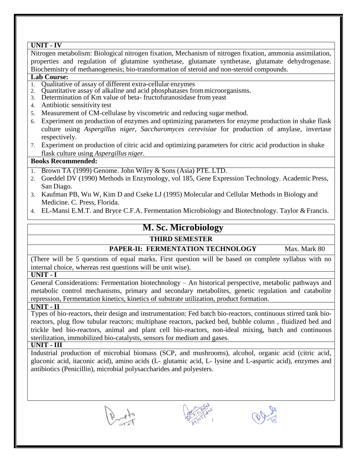| UNIT - IV                                                                                                |  |  |  |  |  |
|----------------------------------------------------------------------------------------------------------|--|--|--|--|--|
| Nitrogen metabolism: Biological nitrogen fixation, Mechanism of nitrogen fixation, ammonia assimilation, |  |  |  |  |  |
| properties and regulation of glutamine synthetase, glutamate synthetase, glutamate dehydrogenase.        |  |  |  |  |  |
| Biochemistry of methanogenesis; bio-transformation of steroid and non-steroid compounds.                 |  |  |  |  |  |
| <b>Lab Course:</b>                                                                                       |  |  |  |  |  |
| Qualitative of assay of different extra-cellular enzymes<br>$1_{-}$                                      |  |  |  |  |  |
| Quantitative assay of alkaline and acid phosphatases from microorganisms.<br>2.                          |  |  |  |  |  |
| 3. Determination of Km value of beta-fructofuranosidase from yeast                                       |  |  |  |  |  |
| 4. Antibiotic sensitivity test                                                                           |  |  |  |  |  |
| 5. Measurement of CM-cellulase by viscometric and reducing sugar method.                                 |  |  |  |  |  |
| 6. Experiment on production of enzymes and optimizing parameters for enzyme production in shake flask    |  |  |  |  |  |
| culture using Aspergillus niger, Saccharomyces cerevisiae for production of amylase, invertase           |  |  |  |  |  |
| respectively.                                                                                            |  |  |  |  |  |
| 7. Experiment on production of citric acid and optimizing parameters for citric acid production in shake |  |  |  |  |  |
| flask culture using Aspergillus niger.                                                                   |  |  |  |  |  |
| <b>Books Recommended:</b>                                                                                |  |  |  |  |  |
| 1. Brown TA (1999) Genome. John Wiley & Sons (Asia) PTE. LTD.                                            |  |  |  |  |  |
| Goeddel DV (1990) Methods in Enzymology, vol 185, Gene Expression Technology. Academic Press,<br>2.      |  |  |  |  |  |
| San Diago.                                                                                               |  |  |  |  |  |
| 3. Kaufman PB, Wu W, Kim D and Cseke LJ (1995) Molecular and Cellular Methods in Biology and             |  |  |  |  |  |
| Medicine. C. Press, Florida.                                                                             |  |  |  |  |  |
| 4. EL-Mansi E.M.T. and Bryce C.F.A. Fermentation Microbiology and Biotechnology. Taylor & Francis.       |  |  |  |  |  |
|                                                                                                          |  |  |  |  |  |

# **M. Sc. Microbiology**

# **THIRD SEMESTER**

# **PAPER-II: FERMENTATION TECHNOLOGY** Max. Mark 80

(There will be 5 questions of equal marks. First question will be based on complete syllabus with no internal choice, whereas rest questions will be unit wise).

# **UNIT - I**

General Considerations: Fermentation biotechnology – An historical perspective, metabolic pathways and metabolic control mechanisms, primary and secondary metabolites, genetic regulation and catabolite repression, Fermentation kinetics, kinetics of substrate utilization, product formation.

# **UNIT - II**

Types of bio-reactors, their design and instrumentation: Fed batch bio-reactors, continuous stirred tank bioreactors, plug flow tubular reactors; multiphase reactors, packed bed, bubble column , fluidized bed and trickle bed bio-reactors, animal and plant cell bio-reactors, non-ideal mixing, batch and continuous sterilization, immobilized bio-catalysts, sensors for medium and gases.

# **UNIT - III**

Industrial production of microbial biomass (SCP, and mushrooms), alcohol, organic acid (citric acid, gluconic acid, itaconic acid), amino acids (L- glutamic acid, L- lysine and L-aspartic acid), enzymes and antibiotics (Penicillin), microbial polysaccharides and polyesters.





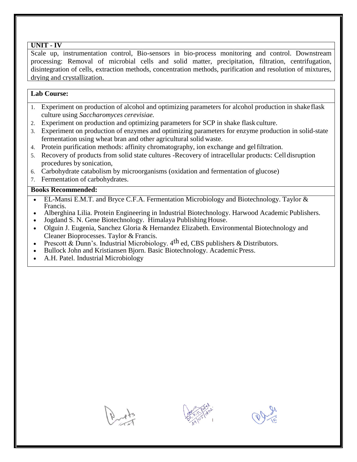#### **UNIT - IV**

Scale up, instrumentation control, Bio-sensors in bio-process monitoring and control. Downstream processing: Removal of microbial cells and solid matter, precipitation, filtration, centrifugation, disintegration of cells, extraction methods, concentration methods, purification and resolution of mixtures, drying and crystallization.

# **Lab Course:**

- 1. Experiment on production of alcohol and optimizing parameters for alcohol production in shake flask culture using *Saccharomyces cerevisiae.*
- 2. Experiment on production and optimizing parameters for SCP in shake flask culture.
- 3. Experiment on production of enzymes and optimizing parameters for enzyme production in solid-state fermentation using wheat bran and other agricultural solid waste.
- 4. Protein purification methods: affinity chromatography, ion exchange and gelfiltration.
- 5. Recovery of products from solid state cultures -Recovery of intracellular products: Celldisruption procedures by sonication,
- 6. Carbohydrate catabolism by microorganisms (oxidation and fermentation of glucose)
- 7. Fermentation of carbohydrates.

- EL-Mansi E.M.T. and Bryce C.F.A. Fermentation Microbiology and Biotechnology. Taylor & Francis.
- Alberghina Lilia. Protein Engineering in Industrial Biotechnology. Harwood Academic Publishers.
- Jogdand S. N. Gene Biotechnology. Himalaya Publishing House.
- Olguin J. Eugenia, Sanchez Gloria & Hernandez Elizabeth. Environmental Biotechnology and Cleaner Bioprocesses. Taylor & Francis.
- Prescott & Dunn's. Industrial Microbiology.  $4<sup>th</sup>$  ed. CBS publishers & Distributors.
- Bullock John and Kristiansen Bjorn. Basic Biotechnology. Academic Press.
- A.H. Patel. Industrial Microbiology





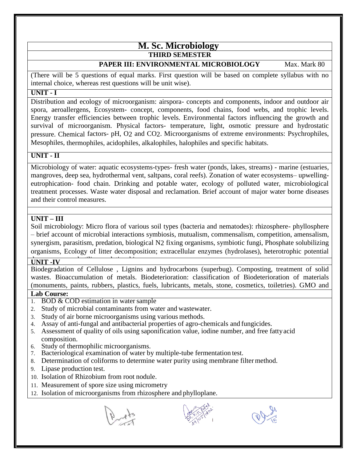# **M. Sc. Microbiology THIRD SEMESTER**

# **PAPER III: ENVIRONMENTAL MICROBIOLOGY** Max. Mark 80

(There will be 5 questions of equal marks. First question will be based on complete syllabus with no internal choice, whereas rest questions will be unit wise).

# **UNIT - I**

Distribution and ecology of microorganism: airspora- concepts and components, indoor and outdoor air spora, aeroallergens, Ecosystem- concept, components, food chains, food webs, and trophic levels. Energy transfer efficiencies between trophic levels. Environmental factors influencing the growth and survival of microorganism. Physical factors- temperature, light, osmotic pressure and hydrostatic pressure. Chemical factors- pH, O2 and CO2. Microorganisms of extreme environments: Psychrophiles, Mesophiles, thermophiles, acidophiles, alkalophiles, halophiles and specific habitats.

# **UNIT - II**

Microbiology of water: aquatic ecosystems-types- fresh water (ponds, lakes, streams) - marine (estuaries, mangroves, deep sea, hydrothermal vent, saltpans, coral reefs). Zonation of water ecosystems– upwellingeutrophication- food chain. Drinking and potable water, ecology of polluted water, microbiological treatment processes. Waste water disposal and reclamation. Brief account of major water borne diseases and their control measures.

# **UNIT – III**

Soil microbiology: Micro flora of various soil types (bacteria and nematodes): rhizosphere- phyllosphere – brief account of microbial interactions symbiosis, mutualism, commensalism, competition, amensalism, synergism, parasitism, predation, biological N2 fixing organisms, symbiotic fungi, Phosphate solubilizing organisms, Ecology of litter decomposition; extracellular enzymes (hydrolases), heterotrophic potential

#### decomposers and utilizers relationship. **UNIT -IV**

Biodegradation of Cellulose , Lignins and hydrocarbons (superbug). Composting, treatment of solid wastes. Bioaccumulation of metals. Biodeterioration: classification of Biodeterioration of materials (monuments, paints, rubbers, plastics, fuels, lubricants, metals, stone, cosmetics, toiletries). GMO and

- 1. BOD & COD estimation in water sample
- 2. Study of microbial contaminants from water and wastewater.
- 3. Study of air borne microorganisms using various methods.
- 4. Assay of anti-fungal and antibacterial properties of agro-chemicals and fungicides.
- 5. Assessment of quality of oils using saponification value, iodine number, and free fattyacid composition.
- 6. Study of thermophilic microorganisms.
- 7. Bacteriological examination of water by multiple-tube fermentation test.
- 8. Determination of coliforms to determine water purity using membrane filter method.
- 9. Lipase production test.
- 10. Isolation of Rhizobium from root nodule.
- 11. Measurement of spore size using micrometry
- 12. Isolation of microorganisms from rhizosphere and phylloplane.





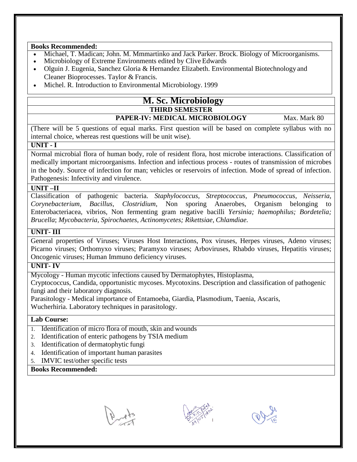- Michael, T. Madican; John. M. Mmmartinko and Jack Parker. Brock. Biology of Microorganisms.
- Microbiology of Extreme Environments edited by Clive Edwards
- Olguin J. Eugenia, Sanchez Gloria & Hernandez Elizabeth. Environmental Biotechnology and Cleaner Bioprocesses. Taylor & Francis.
- Michel. R. Introduction to Environmental Microbiology. 1999

# **M. Sc. Microbiology THIRD SEMESTER**

# **PAPER-IV: MEDICAL MICROBIOLOGY** Max. Mark 80

(There will be 5 questions of equal marks. First question will be based on complete syllabus with no internal choice, whereas rest questions will be unit wise).

# **UNIT - I**

Normal microbial flora of human body, role of resident flora, host microbe interactions. Classification of medically important microorganisms. Infection and infectious process - routes of transmission of microbes in the body. Source of infection for man; vehicles or reservoirs of infection. Mode of spread of infection. Pathogenesis: Infectivity and virulence.

# **UNIT –II**

Classification of pathogenic bacteria. *Staphylococcus, Streptococcus, Pneumococcus, Neisseria, Corynebacterium, Bacillus, Clostridium*, Non sporing Anaerobes, Organism belonging to Enterobacteriacea, vibrios, Non fermenting gram negative bacilli *Yersinia; haemophilus; Bordetelia; Brucella*; *Mycobacteria, Spirochaetes, Actinomycetes; Rikettsiae, Chlamdiae.*

# **UNIT- III**

General properties of Viruses; Viruses Host Interactions, Pox viruses, Herpes viruses, Adeno viruses; Picarno viruses; Orthomyxo viruses; Paramyxo viruses; Arboviruses, Rhabdo viruses, Hepatitis viruses; Oncogenic viruses; Human Immuno deficiency viruses.

# **UNIT- IV**

Mycology - Human mycotic infections caused by Dermatophytes, Histoplasma,

Cryptococcus, Candida, opportunistic mycoses. Mycotoxins. Description and classification of pathogenic fungi and their laboratory diagnosis.

Parasitology - Medical importance of Entamoeba, Giardia, Plasmodium, Taenia, Ascaris,

Wucherhiria. Laboratory techniques in parasitology.

# **Lab Course:**

- 1. Identification of micro flora of mouth, skin and wounds
- 2. Identification of enteric pathogens by TSIA medium
- 3. Identification of dermatophytic fungi
- 4. Identification of important human parasites
- 5. IMVIC test/other specific tests





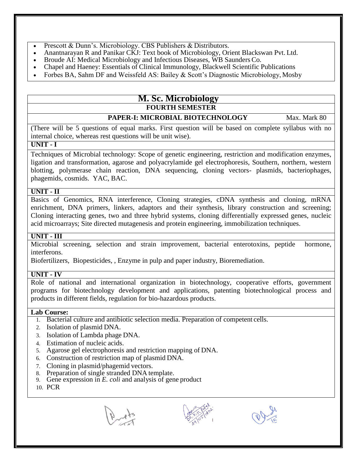- Prescott & Dunn's. Microbiology. CBS Publishers & Distributors.
- Anantnarayan R and Panikar CKJ: Text book of Microbiology, Orient Blackswan Pvt. Ltd.
- Broude AI: Medical Microbiology and Infectious Diseases, WB Saunders Co.
- Chapel and Haeney: Essentials of Clinical Immunology, Blackwell Scientific Publications
- Forbes BA, Sahm DF and Weissfeld AS: Bailey & Scott's Diagnostic Microbiology, Mosby

# **M. Sc. Microbiology FOURTH SEMESTER**

# **PAPER-I: MICROBIAL BIOTECHNOLOGY** Max. Mark 80

 (There will be 5 questions of equal marks. First question will be based on complete syllabus with no internal choice, whereas rest questions will be unit wise).

# **UNIT - I**

Techniques of Microbial technology: Scope of genetic engineering, restriction and modification enzymes, ligation and transformation, agarose and polyacrylamide gel electrophoresis, Southern, northern, western blotting, polymerase chain reaction, DNA sequencing, cloning vectors- plasmids, bacteriophages, phagemids, cosmids. YAC, BAC.

#### **UNIT - II**

Basics of Genomics, RNA interference, Cloning strategies, cDNA synthesis and cloning, mRNA enrichment, DNA primers, linkers, adaptors and their synthesis, library construction and screening; Cloning interacting genes, two and three hybrid systems, cloning differentially expressed genes, nucleic acid microarrays; Site directed mutagenesis and protein engineering, immobilization techniques.

# **UNIT - III**

Microbial screening, selection and strain improvement, bacterial enterotoxins, peptide hormone, interferons.

Biofertilizers, Biopesticides, , Enzyme in pulp and paper industry, Bioremediation.

# **UNIT - IV**

Role of national and international organization in biotechnology, cooperative efforts, government programs for biotechnology development and applications, patenting biotechnological process and products in different fields, regulation for bio-hazardous products.

- 1. Bacterial culture and antibiotic selection media. Preparation of competent cells.
- 2. Isolation of plasmid DNA.
- 3. Isolation of Lambda phage DNA.
- 4. Estimation of nucleic acids.
- 5. Agarose gel electrophoresis and restriction mapping of DNA.
- 6. Construction of restriction map of plasmid DNA.
- 7. Cloning in plasmid/phagemid vectors.
- 8. Preparation of single stranded DNA template.
- 9. Gene expression in *E. coli* and analysis of gene product
- 10. PCR
- 



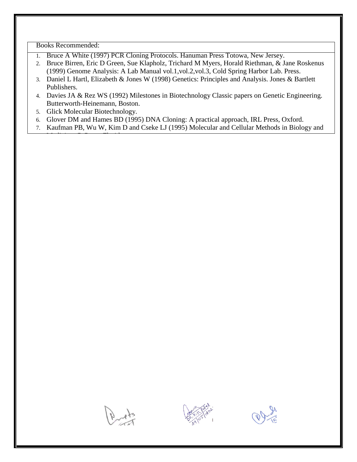- 1. Bruce A White (1997) PCR Cloning Protocols. Hanuman Press Totowa, New Jersey.
- 2. Bruce Birren, Eric D Green, Sue Klapholz, Trichard M Myers, Horald Riethman, & Jane Roskenus (1999) Genome Analysis: A Lab Manual vol.1,vol.2,vol.3, Cold Spring Harbor Lab. Press.
- 3. Daniel L Hartl, Elizabeth & Jones W (1998) Genetics: Principles and Analysis. Jones & Bartlett Publishers.
- 4. Davies JA & Rez WS (1992) Milestones in Biotechnology Classic papers on Genetic Engineering. Butterworth-Heinemann, Boston.
- 5. Glick Molecular Biotechnology.

Medicine. C. Press, Florida.

- 6. Glover DM and Hames BD (1995) DNA Cloning: A practical approach, IRL Press, Oxford.
- 7. Kaufman PB, Wu W, Kim D and Cseke LJ (1995) Molecular and Cellular Methods in Biology and





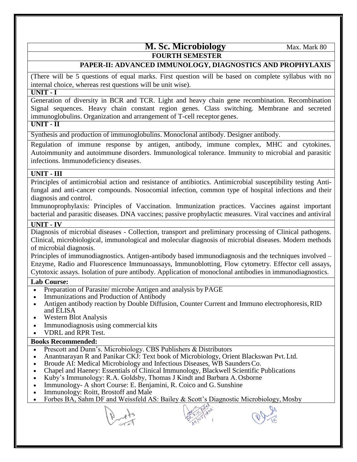# **M. Sc. Microbiology** Max. Mark 80  **FOURTH SEMESTER**

# PAPER-II: ADVANCED IMMUNOLOGY, DIAGNOSTICS AND PROPHYLAXIS

(There will be 5 questions of equal marks. First question will be based on complete syllabus with no internal choice, whereas rest questions will be unit wise).

#### **UNIT - I**

Generation of diversity in BCR and TCR. Light and heavy chain gene recombination. Recombination Signal sequences. Heavy chain constant region genes. Class switching. Membrane and secreted immunoglobulins. Organization and arrangement of T-cell receptor genes.

# **UNIT - II**

Synthesis and production of immunoglobulins. Monoclonal antibody. Designer antibody.

Regulation of immune response by antigen, antibody, immune complex, MHC and cytokines. Autoimmunity and autoimmune disorders. Immunological tolerance. Immunity to microbial and parasitic infections. Immunodeficiency diseases.

# **UNIT - III**

Principles of antimicrobial action and resistance of antibiotics. Antimicrobial susceptibility testing Antifungal and anti-cancer compounds. Nosocomial infection, common type of hospital infections and their diagnosis and control.

Immunoprophylaxis: Principles of Vaccination. Immunization practices. Vaccines against important bacterial and parasitic diseases. DNA vaccines; passive prophylactic measures. Viral vaccines and antiviral

# $\overline{\textbf{UNIT}}$  - **IV**

Diagnosis of microbial diseases - Collection, transport and preliminary processing of Clinical pathogens. Clinical, microbiological, immunological and molecular diagnosis of microbial diseases. Modern methods of microbial diagnosis.

Principles of immunodiagnostics. Antigen-antibody based immunodiagnosis and the techniques involved – Enzyme, Radio and Fluorescence Immunoassays, Immunoblotting, Flow cytometry. Effector cell assays, Cytotoxic assays. Isolation of pure antibody. Application of monoclonal antibodies in immunodiagnostics.

# **Lab Course:**

- Preparation of Parasite/ microbe Antigen and analysis by PAGE
- Immunizations and Production of Antibody
- Antigen antibody reaction by Double Diffusion, Counter Current and Immuno electrophoresis,RID and ELISA
- Western Blot Analysis
- Immunodiagnosis using commercial kits
- VDRL and RPR Test.

- Prescott and Dunn's. Microbiology. CBS Publishers & Distributors
- Anantnarayan R and Panikar CKJ: Text book of Microbiology, Orient Blackswan Pvt.Ltd.
- Broude AI: Medical Microbiology and Infectious Diseases, WB SaundersCo.
- Chapel and Haeney: Essentials of Clinical Immunology, Blackwell Scientific Publications
- Kuby's Immunology: R.A. Goldsby, Thomas J Kindt and Barbara A.Osborne
- Immunology- A short Course: E. Benjamini, R. Coico and G. Sunshine
- Immunology: Roitt, Brostoff and Male
- Forbes BA, Sahm DF and Weissfeld AS: Bailey & Scott's Diagnostic Microbiology, Mosby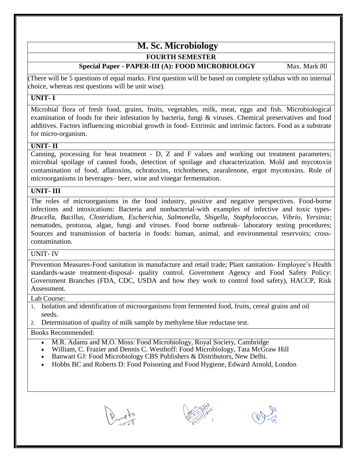# **M. Sc. Microbiology**

# **FOURTH SEMESTER**

# **Special Paper - PAPER-III** (A): **FOOD MICROBIOLOGY** Max. Mark 80

(There will be 5 questions of equal marks. First question will be based on complete syllabus with no internal choice, whereas rest questions will be unit wise).

# **UNIT- I**

Microbial flora of fresh food, grains, fruits, vegetables, milk, meat, eggs and fish. Microbiological examination of foods for their infestation by bacteria, fungi & viruses. Chemical preservatives and food additives. Factors influencing microbial growth in food- Extrinsic and intrinsic factors. Food as a substrate for micro-organism.

# **UNIT- II**

Canning, processing for heat treatment - D, Z and F values and working out treatment parameters; microbial spoilage of canned foods, detection of spoilage and characterization. Mold and mycotoxin contamination of food, aflatoxins, ochratoxins, trichothenes, zearalenone, ergot mycotoxins. Role of microorganisms in beverages– beer, wine and vinegar fermentation.

# **UNIT- III**

The roles of microorganisms in the food industry, positive and negative perspectives. Food-borne infections and intoxications: Bacteria and nonbacterial-with examples of infective and toxic types-*Brucella, Bacillus, Clostridium, Escherichia, Salmonella, Shigella, Staphylococcus, Vibrio, Yersinia*; nematodes, protozoa, algae, fungi and viruses. Food borne outbreak- laboratory testing procedures; Sources and transmission of bacteria in foods: human, animal, and environmental reservoirs; crosscontamination.

# UNIT- IV

Prevention Measures-Food sanitation in manufacture and retail trade; Plant sanitation- Employee's Health standards-waste treatment-disposal- quality control. Government Agency and Food Safety Policy: Government Branches (FDA, CDC, USDA and how they work to control food safety), HACCP, Risk Assessment.

# Lab Course:

- 1. Isolation and identification of microorganisms from fermented food, fruits, cereal grains and oil seeds.
- 2. Determination of quality of milk sample by methylene blue reductase test.

- M.R. Adams and M.O. Moss: Food Microbiology, Royal Society, Cambridge
- William, C. Frazier and Dennis C. Westhoff: Food Microbiology, Tata McGraw Hill
- Banwart GJ: Food Microbiology CBS Publishers & Distributors, New Delhi.
- Hobbs BC and Roberts D: Food Poisoning and Food Hygiene, Edward Arnold, London





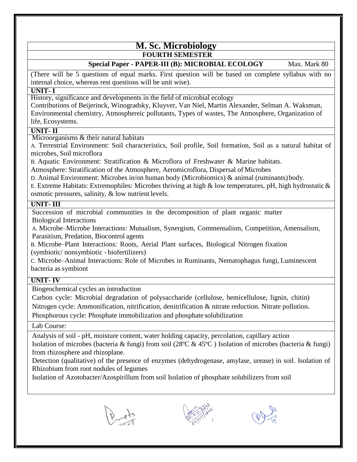# **M. Sc. Microbiology FOURTH SEMESTER**

# **Special Paper - PAPER-III (B): MICROBIAL ECOLOGY** Max. Mark 80

(There will be 5 questions of equal marks. First question will be based on complete syllabus with no internal choice, whereas rest questions will be unit wise).

# **UNIT- I**

History, significance and developments in the field of microbial ecology

Contributions of Beijerinck, Winogradsky, Kluyver, Van Niel, Martin Alexander, Selman A. Waksman, Environmental chemistry, Atmosphereic pollutants, Types of wastes, The Atmosphere, Organization of life, Ecosystems.

# **UNIT- II**

Microorganisms & their natural habitats

A. Terrestrial Environment: Soil characteristics, Soil profile, Soil formation, Soil as a natural habitat of microbes, Soil microflora

B. Aquatic Environment: Stratification & Microflora of Freshwater & Marine habitats.

Atmosphere: Stratification of the Atmosphere, Aeromicroflora, Dispersal of Microbes

D. Animal Environment: Microbes in/on human body (Microbiomics) & animal (ruminants)body.

E. Extreme Habitats: Extremophiles: Microbes thriving at high  $\&$  low temperatures, pH, high hydrostatic  $\&$ osmotic pressures, salinity, & low nutrient levels.

# **UNIT- III**

Succession of microbial communities in the decomposition of plant organic matter Biological Interactions

A. Microbe–Microbe Interactions: Mutualism, Synergism, Commensalism, Competition, Amensalism, Parasitism, Predation, Biocontrol agents

B. Microbe–Plant Interactions: Roots, Aerial Plant surfaces, Biological Nitrogen fixation (symbiotic/ nonsymbiotic - biofertilizers)

C. Microbe–Animal Interactions: Role of Microbes in Ruminants, Nematophagus fungi, Luminescent bacteria as symbiont

# **UNIT- IV**

Biogeochemical cycles an introduction

Carbon cycle: Microbial degradation of polysaccharide (cellulose, hemicellulose, lignin, chitin) Nitrogen cycle: Ammonification, nitrification, denitrification & nitrate reduction. Nitrate pollution. Phosphorous cycle: Phosphate immobilization and phosphate solubilization

Lab Course:

Analysis of soil - pH, moisture content, water holding capacity, percolation, capillary action Isolation of microbes (bacteria & fungi) from soil (28ºC & 45ºC ) Isolation of microbes (bacteria & fungi) from rhizosphere and rhizoplane.

Detection (qualitative) of the presence of enzymes (dehydrogenase, amylase, urease) in soil. Isolation of Rhizobium from root nodules of legumes

Isolation of Azotobacter/Azospirillum from soil Isolation of phosphate solubilizers from soil





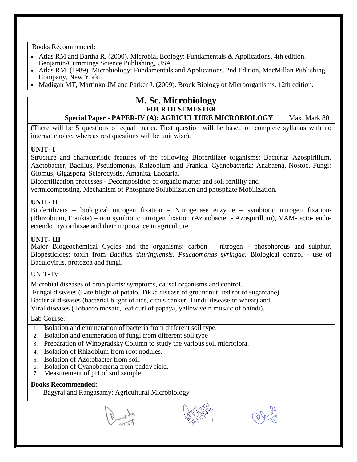Pearson/ Benjamin Cummings.

- Atlas RM and Bartha R. (2000). Microbial Ecology: Fundamentals & Applications. 4th edition. Benjamin/Cummings Science Publishing, USA.
- Atlas RM. (1989). Microbiology: Fundamentals and Applications. 2nd Edition, MacMillan Publishing Company, New York.
- Madigan MT, Martinko JM and Parker J. (2009). Brock Biology of Microorganisms. 12th edition.

# **Campbell RE. (1983). Microbiology. Blackweal Scientific Publication, Oxford, England. FOURTH SEMESTER**

# **Special Paper - PAPER-IV (A): AGRICULTURE MICROBIOLOGY** Max. Mark 80

 $E_{\text{S}} = \frac{E_{\text{S}}}{E_{\text{S}}} = \frac{E_{\text{S}}}{E_{\text{S}}} = \frac{1}{1 - 1} = \frac{E_{\text{S}}}{E_{\text{S}}}$ (There will be 5 questions of equal marks. First question will be based on complete syllabus with no internal choice, whereas rest questions will be unit wise).

# York & London. **UNIT- I**

Sturi H. (1988). Microbial Ecology: Organisms Habitativity Activities. Captainst Activities. Activities. Activities. Activities. Activities. Activities. Activities. Activities. Activities. Activities. Activities. Activitie Structure and characteristic features of the following Biofertilizer organisms: Bacteria: Azospirillum, Azotobacter, Bacillus, Pseudomonas, Rhizobium and Frankia. Cyanobacteria: Anabaena, Nostoc, Fungi: Glomus, Gigaspora, Sclerocystis, Amanita, Laccaria.

Biofertilization processes - Decomposition of organic matter and soil fertility and

vermicomposting. Mechanism of Phosphate Solubilization and phosphate Mobilization.

# **UNIT- II**

Biofertilizers – biological nitrogen fixation – Nitrogenase enzyme – symbiotic nitrogen fixation- (Rhizobium, Frankia) – non symbiotic nitrogen fixation (Azotobacter - Azospirillum), VAM- ecto- endoectendo mycorrhizae and their importance in agriculture.

# **UNIT- III**

Major Biogeochemical Cycles and the organisms: carbon – nitrogen - phosphorous and sulphur. Biopesticides: toxin from *Bacillus thuringiensis, Psuedomonas syringae.* Biological control - use of Baculovirus, protozoa and fungi.

# UNIT- IV

Microbial diseases of crop plants: symptoms, causal organisms and control.

Fungal diseases (Late blight of potato, Tikka disease of groundnut, red rot of sugarcane).

Bacterial diseases (bacterial blight of rice, citrus canker, Tundu disease of wheat) and

Viral diseases (Tobacco mosaic, leaf curl of papaya, yellow vein mosaic of bhindi).

# Lab Course:

- 1. Isolation and enumeration of bacteria from different soil type.
- 2. Isolation and enumeration of fungi from different soil type
- 3. Preparation of Winogradsky Column to study the various soil microflora.
- 4. Isolation of Rhizobium from root nodules.
- 5. Isolation of Azotobacter from soil.
- 6. Isolation of Cyanobacteria from paddy field.
- 7. Measurement of pH of soil sample.

# **Books Recommended:**

Bagyraj and Rangasamy: Agricultural Microbiology



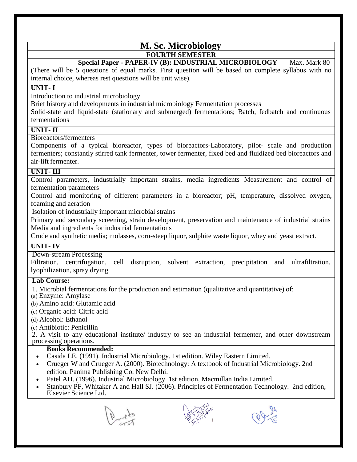# **M. Sc. Microbiology FOURTH SEMESTER**

# **Special Paper - PAPER-IV (B): INDUSTRIAL MICROBIOLOGY** Max. Mark 80

(There will be 5 questions of equal marks. First question will be based on complete syllabus with no internal choice, whereas rest questions will be unit wise).

# **UNIT- I**

Introduction to industrial microbiology

Brief history and developments in industrial microbiology Fermentation processes

Solid-state and liquid-state (stationary and submerged) fermentations; Batch, fedbatch and continuous fermentations

# **UNIT- II**

Bioreactors/fermenters

Components of a typical bioreactor, types of bioreactors-Laboratory, pilot- scale and production fermenters; constantly stirred tank fermenter, tower fermenter, fixed bed and fluidized bed bioreactors and air-lift fermenter.

# **UNIT- III**

Control parameters, industrially important strains, media ingredients Measurement and control of fermentation parameters

Control and monitoring of different parameters in a bioreactor; pH, temperature, dissolved oxygen, foaming and aeration

Isolation of industrially important microbial strains

Primary and secondary screening, strain development, preservation and maintenance of industrial strains Media and ingredients for industrial fermentations

Crude and synthetic media; molasses, corn-steep liquor, sulphite waste liquor, whey and yeast extract.

# **UNIT- IV**

Down-stream Processing

Filtration, centrifugation, cell disruption, solvent extraction, precipitation and ultrafiltration, lyophilization, spray drying

# **Lab Course:**

1. Microbial fermentations for the production and estimation (qualitative and quantitative) of:

(a) Enzyme: Amylase

(b) Amino acid: Glutamic acid

(c) Organic acid: Citric acid

(d) Alcohol: Ethanol

(e) Antibiotic: Penicillin

2. A visit to any educational institute/ industry to see an industrial fermenter, and other downstream processing operations.

- Casida LE. (1991). Industrial Microbiology. 1st edition. Wiley Eastern Limited.
- Crueger W and Crueger A. (2000). Biotechnology: A textbook of Industrial Microbiology. 2nd edition. Panima Publishing Co. New Delhi.
- Patel AH. (1996). Industrial Microbiology. 1st edition, Macmillan India Limited.
- Stanbury PF, Whitaker A and Hall SJ. (2006). Principles of Fermentation Technology. 2nd edition, Elsevier Science Ltd.